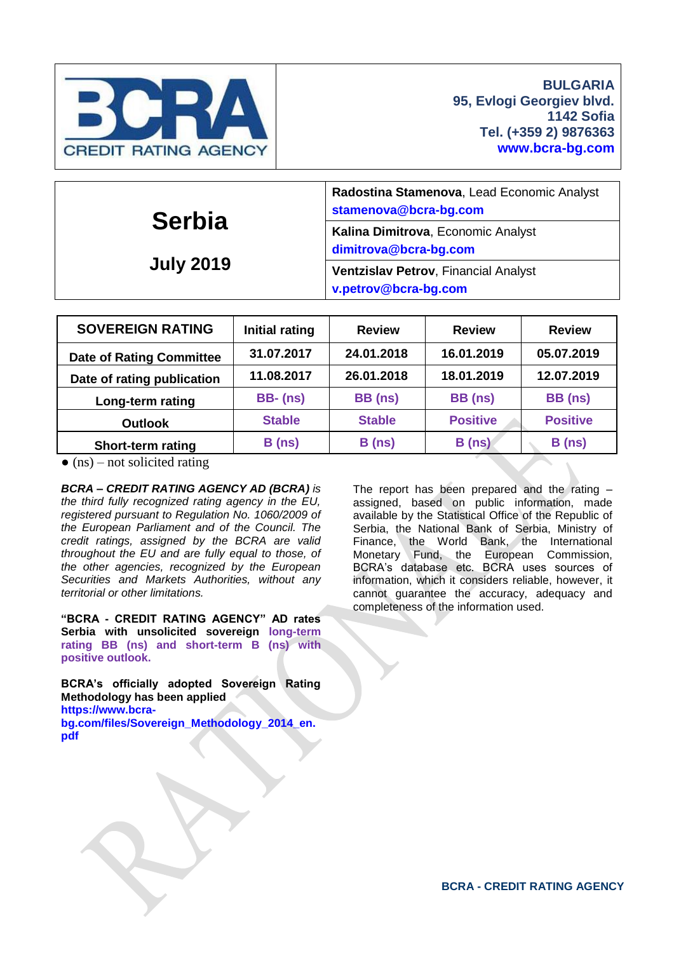

| <b>Serbia</b><br><b>July 2019</b> | Radostina Stamenova, Lead Economic Analyst<br>stamenova@bcra-bg.com |  |  |  |  |
|-----------------------------------|---------------------------------------------------------------------|--|--|--|--|
|                                   | Kalina Dimitrova, Economic Analyst<br>dimitrova@bcra-bg.com         |  |  |  |  |
|                                   | <b>Ventzislav Petrov, Financial Analyst</b><br>v.petrov@bcra-bg.com |  |  |  |  |

| <b>SOVEREIGN RATING</b>         | <b>Initial rating</b> | <b>Review</b> | <b>Review</b>   | <b>Review</b>   |  |
|---------------------------------|-----------------------|---------------|-----------------|-----------------|--|
| <b>Date of Rating Committee</b> | 31.07.2017            | 24.01.2018    | 16.01.2019      | 05.07.2019      |  |
| Date of rating publication      | 11.08.2017            | 26.01.2018    | 18.01.2019      | 12.07.2019      |  |
| Long-term rating                | <b>BB-</b> (ns)       | BB (ns)       | BB (ns)         | BB (ns)         |  |
| <b>Outlook</b>                  | <b>Stable</b>         | <b>Stable</b> | <b>Positive</b> | <b>Positive</b> |  |
| Short-term rating               | B(ns)                 | B(ns)         | B(ns)           | B(ns)           |  |

 $\bullet$  (ns) – not solicited rating

*BCRA – CREDIT RATING AGENCY AD (BCRA) is the third fully recognized rating agency in the EU, registered pursuant to Regulation No. 1060/2009 of the European Parliament and of the Council. The credit ratings, assigned by the BCRA are valid throughout the EU and are fully equal to those, of the other agencies, recognized by the European Securities and Markets Authorities, without any territorial or other limitations.*

**"BCRA - CREDIT RATING AGENCY" AD rates Serbia with unsolicited sovereign long-term rating BB (ns) and short-term B (ns) with positive outlook.**

**BCRA's officially adopted Sovereign Rating Methodology has been applied [https://www.bcra](https://www.bcra-bg.com/files/Sovereign_Methodology_2014_en.pdf)[bg.com/files/Sovereign\\_Methodology\\_2014\\_en.](https://www.bcra-bg.com/files/Sovereign_Methodology_2014_en.pdf) [pdf](https://www.bcra-bg.com/files/Sovereign_Methodology_2014_en.pdf)** 

The report has been prepared and the rating – assigned, based on public information, made available by the Statistical Office of the Republic of Serbia, the National Bank of Serbia, Ministry of Finance, the World Bank, the International Monetary Fund, the European Commission, BCRA's database etc. BCRA uses sources of information, which it considers reliable, however, it cannot guarantee the accuracy, adequacy and completeness of the information used.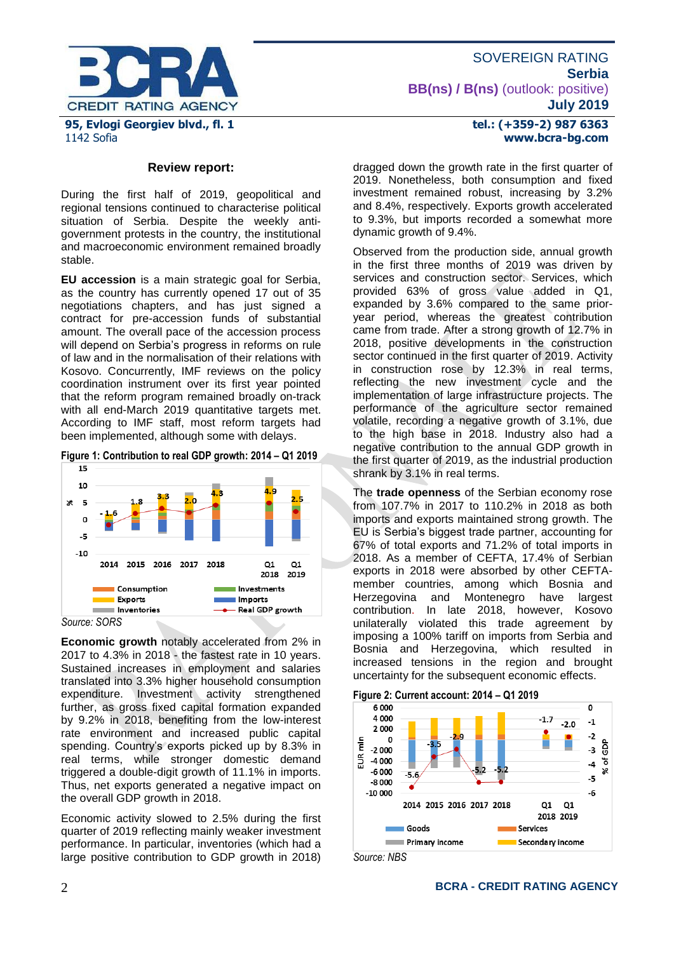

# **Review report:**

During the first half of 2019, geopolitical and regional tensions continued to characterise political situation of Serbia. Despite the weekly antigovernment protests in the country, the institutional and macroeconomic environment remained broadly stable.

**EU accession** is a main strategic goal for Serbia, as the country has currently opened 17 out of 35 negotiations chapters, and has just signed a contract for pre-accession funds of substantial amount. The overall pace of the accession process will depend on Serbia's progress in reforms on rule of law and in the normalisation of their relations with Kosovo. Concurrently, IMF reviews on the policy coordination instrument over its first year pointed that the reform program remained broadly on-track with all end-March 2019 quantitative targets met. According to IMF staff, most reform targets had been implemented, although some with delays.

**Figure 1: Contribution to real GDP growth: 2014 – Q1 2019**



**Economic growth** notably accelerated from 2% in 2017 to 4.3% in 2018 - the fastest rate in 10 years. Sustained increases in employment and salaries translated into 3.3% higher household consumption expenditure. Investment activity strengthened further, as gross fixed capital formation expanded by 9.2% in 2018, benefiting from the low-interest rate environment and increased public capital spending. Country's exports picked up by 8.3% in real terms, while stronger domestic demand triggered a double-digit growth of 11.1% in imports. Thus, net exports generated a negative impact on the overall GDP growth in 2018.

Economic activity slowed to 2.5% during the first quarter of 2019 reflecting mainly weaker investment performance. In particular, inventories (which had a large positive contribution to GDP growth in 2018)

#### **tel.: (+359-2) 987 6363 www.bcra-bg.com**

dragged down the growth rate in the first quarter of 2019. Nonetheless, both consumption and fixed investment remained robust, increasing by 3.2% and 8.4%, respectively. Exports growth accelerated to 9.3%, but imports recorded a somewhat more dynamic growth of 9.4%.

Observed from the production side, annual growth in the first three months of 2019 was driven by services and construction sector. Services, which provided 63% of gross value added in Q1, expanded by 3.6% compared to the same prioryear period, whereas the greatest contribution came from trade. After a strong growth of 12.7% in 2018, positive developments in the construction sector continued in the first quarter of 2019. Activity in construction rose by 12.3% in real terms, reflecting the new investment cycle and the implementation of large infrastructure projects. The performance of the agriculture sector remained volatile, recording a negative growth of 3.1%, due to the high base in 2018. Industry also had a negative contribution to the annual GDP growth in the first quarter of 2019, as the industrial production shrank by 3.1% in real terms.

The **trade openness** of the Serbian economy rose from 107.7% in 2017 to 110.2% in 2018 as both imports and exports maintained strong growth. The EU is Serbia's biggest trade partner, accounting for 67% of total exports and 71.2% of total imports in 2018. As a member of CEFTA, 17.4% of Serbian exports in 2018 were absorbed by other CEFTAmember countries, among which Bosnia and Herzegovina and Montenegro have largest contribution. In late 2018, however, Kosovo unilaterally violated this trade agreement by imposing a 100% tariff on imports from Serbia and Bosnia and Herzegovina, which resulted in increased tensions in the region and brought uncertainty for the subsequent economic effects.



*Source: NBS*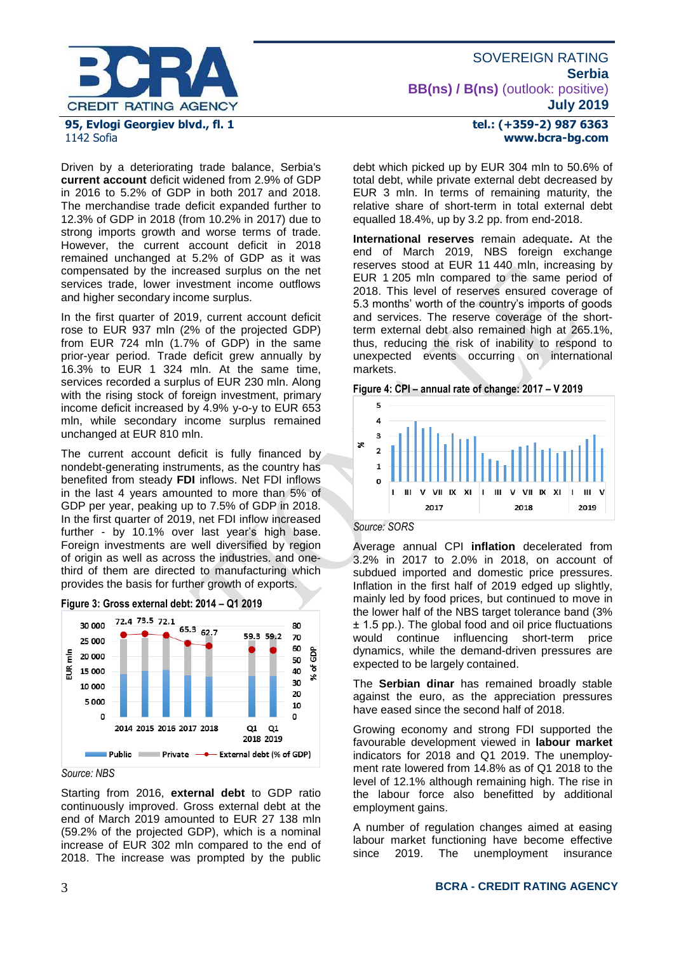

# 1142 Sofia

Driven by a deteriorating trade balance, Serbia's **current account** deficit widened from 2.9% of GDP in 2016 to 5.2% of GDP in both 2017 and 2018. The merchandise trade deficit expanded further to 12.3% of GDP in 2018 (from 10.2% in 2017) due to strong imports growth and worse terms of trade. However, the current account deficit in 2018 remained unchanged at 5.2% of GDP as it was compensated by the increased surplus on the net services trade, lower investment income outflows and higher secondary income surplus.

In the first quarter of 2019, current account deficit rose to EUR 937 mln (2% of the projected GDP) from EUR 724 mln (1.7% of GDP) in the same prior-year period. Trade deficit grew annually by 16.3% to EUR 1 324 mln. At the same time, services recorded a surplus of EUR 230 mln. Along with the rising stock of foreign investment, primary income deficit increased by 4.9% y-o-y to EUR 653 mln, while secondary income surplus remained unchanged at EUR 810 mln.

The current account deficit is fully financed by nondebt-generating instruments, as the country has benefited from steady **FDI** inflows. Net FDI inflows in the last 4 years amounted to more than 5% of GDP per year, peaking up to 7.5% of GDP in 2018. In the first quarter of 2019, net FDI inflow increased further - by 10.1% over last year's high base. Foreign investments are well diversified by region of origin as well as across the industries. and onethird of them are directed to manufacturing which provides the basis for further growth of exports.



**Figure 3: Gross external debt: 2014 – Q1 2019**

# *Source: NBS*

Starting from 2016, **external debt** to GDP ratio continuously improved. Gross external debt at the end of March 2019 amounted to EUR 27 138 mln (59.2% of the projected GDP), which is a nominal increase of EUR 302 mln compared to the end of 2018. The increase was prompted by the public

#### **tel.: (+359-2) 987 6363 www.bcra-bg.com**

debt which picked up by EUR 304 mln to 50.6% of total debt, while private external debt decreased by EUR 3 mln. In terms of remaining maturity, the relative share of short-term in total external debt equalled 18.4%, up by 3.2 pp. from end-2018.

**International reserves** remain adequate**.** At the end of March 2019, NBS foreign exchange reserves stood at EUR 11 440 mln, increasing by EUR 1 205 mln compared to the same period of 2018. This level of reserves ensured coverage of 5.3 months' worth of the country's imports of goods and services. The reserve coverage of the shortterm external debt also remained high at 265.1%, thus, reducing the risk of inability to respond to unexpected events occurring on international markets.





*Source: SORS*

Average annual CPI **inflation** decelerated from 3.2% in 2017 to 2.0% in 2018, on account of subdued imported and domestic price pressures. Inflation in the first half of 2019 edged up slightly, mainly led by food prices, but continued to move in the lower half of the NBS target tolerance band (3% ± 1.5 pp.). The global food and oil price fluctuations would continue influencing short-term price dynamics, while the demand-driven pressures are expected to be largely contained.

The **Serbian dinar** has remained broadly stable against the euro, as the appreciation pressures have eased since the second half of 2018.

Growing economy and strong FDI supported the favourable development viewed in **labour market** indicators for 2018 and Q1 2019. The unemployment rate lowered from 14.8% as of Q1 2018 to the level of 12.1% although remaining high. The rise in the labour force also benefitted by additional employment gains.

A number of regulation changes aimed at easing labour market functioning have become effective since 2019. The unemployment insurance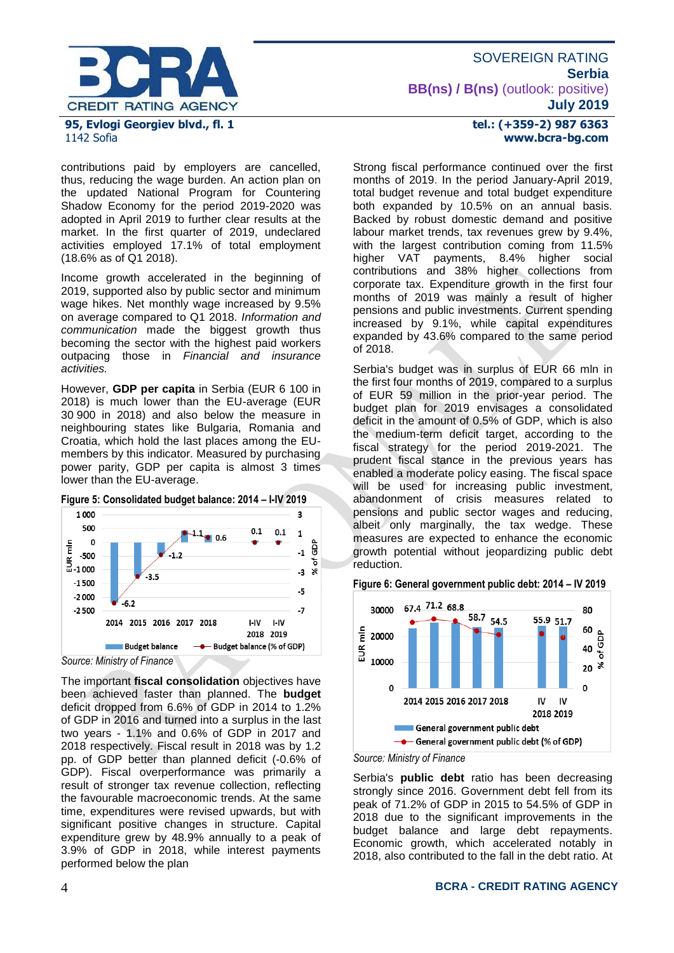

#### contributions paid by employers are cancelled, thus, reducing the wage burden. An action plan on the updated National Program for Countering Shadow Economy for the period 2019-2020 was adopted in April 2019 to further clear results at the market. In the first quarter of 2019, undeclared activities employed 17.1% of total employment (18.6% as of Q1 2018).

Income growth accelerated in the beginning of 2019, supported also by public sector and minimum wage hikes. Net monthly wage increased by 9.5% on average compared to Q1 2018. *Information and communication* made the biggest growth thus becoming the sector with the highest paid workers outpacing those in *Financial and insurance activities.* 

However, **GDP per capita** in Serbia (EUR 6 100 in 2018) is much lower than the EU-average (EUR 30 900 in 2018) and also below the measure in neighbouring states like Bulgaria, Romania and Croatia, which hold the last places among the EUmembers by this indicator. Measured by purchasing power parity, GDP per capita is almost 3 times lower than the EU-average.



*Source: Ministry of Finance*

The important **fiscal consolidation** objectives have been achieved faster than planned. The **budget**  deficit dropped from 6.6% of GDP in 2014 to 1.2% of GDP in 2016 and turned into a surplus in the last two years - 1.1% and 0.6% of GDP in 2017 and 2018 respectively. Fiscal result in 2018 was by 1.2 pp. of GDP better than planned deficit (-0.6% of GDP). Fiscal overperformance was primarily a result of stronger tax revenue collection, reflecting the favourable macroeconomic trends. At the same time, expenditures were revised upwards, but with significant positive changes in structure. Capital expenditure grew by 48.9% annually to a peak of 3.9% of GDP in 2018, while interest payments performed below the plan

# **tel.: (+359-2) 987 6363 www.bcra-bg.com**

Strong fiscal performance continued over the first months of 2019. In the period January-April 2019, total budget revenue and total budget expenditure both expanded by 10.5% on an annual basis. Backed by robust domestic demand and positive labour market trends, tax revenues grew by 9.4%, with the largest contribution coming from 11.5% higher VAT payments, 8.4% higher social contributions and 38% higher collections from corporate tax. Expenditure growth in the first four months of 2019 was mainly a result of higher pensions and public investments. Current spending increased by 9.1%, while capital expenditures expanded by 43.6% compared to the same period of 2018.

Serbia's budget was in surplus of EUR 66 mln in the first four months of 2019, compared to a surplus of EUR 59 million in the prior-year period. The budget plan for 2019 envisages a consolidated deficit in the amount of 0.5% of GDP, which is also the medium-term deficit target, according to the fiscal strategy for the period 2019-2021. The prudent fiscal stance in the previous years has enabled a moderate policy easing. The fiscal space will be used for increasing public investment, abandonment of crisis measures related to pensions and public sector wages and reducing, albeit only marginally, the tax wedge. These measures are expected to enhance the economic growth potential without jeopardizing public debt reduction.

#### **Figure 6: General government public debt: 2014 – IV 2019**



*Source: Ministry of Finance*

Serbia's **public debt** ratio has been decreasing strongly since 2016. Government debt fell from its peak of 71.2% of GDP in 2015 to 54.5% of GDP in 2018 due to the significant improvements in the budget balance and large debt repayments. Economic growth, which accelerated notably in 2018, also contributed to the fall in the debt ratio. At

#### 4 **BCRA - CREDIT RATING AGENCY**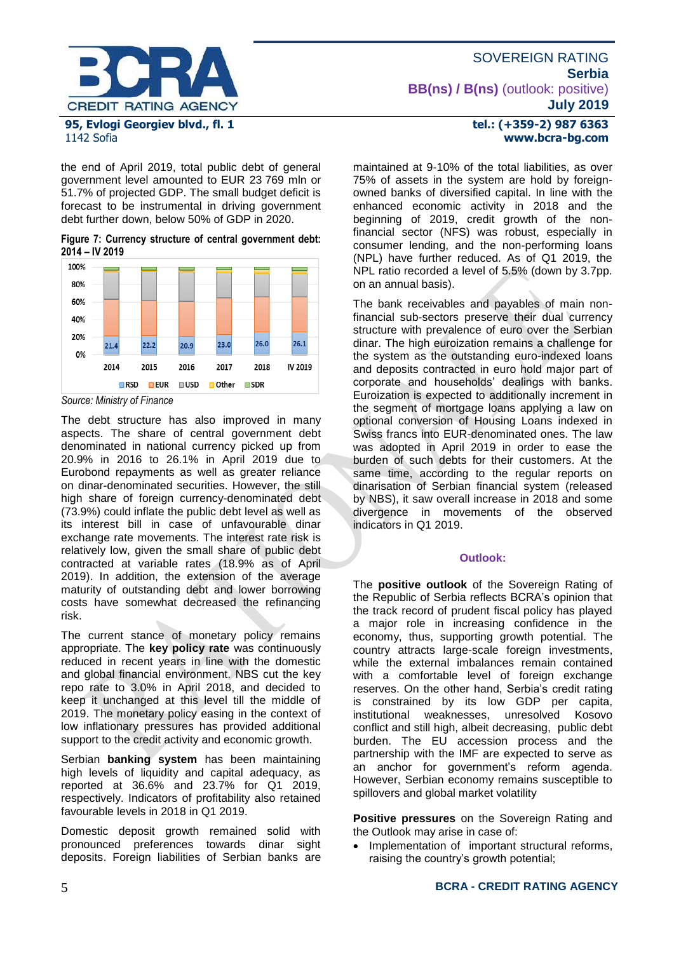

the end of April 2019, total public debt of general government level amounted to EUR 23 769 mln or 51.7% of projected GDP. The small budget deficit is forecast to be instrumental in driving government debt further down, below 50% of GDP in 2020.

**Figure 7: Currency structure of central government debt: 2014 – IV 2019**



*Source: Ministry of Finance*

The debt structure has also improved in many aspects. The share of central government debt denominated in national currency picked up from 20.9% in 2016 to 26.1% in April 2019 due to Eurobond repayments as well as greater reliance on dinar-denominated securities. However, the still high share of foreign currency-denominated debt (73.9%) could inflate the public debt level as well as its interest bill in case of unfavourable dinar exchange rate movements. The interest rate risk is relatively low, given the small share of public debt contracted at variable rates (18.9% as of April 2019). In addition, the extension of the average maturity of outstanding debt and lower borrowing costs have somewhat decreased the refinancing risk.

The current stance of monetary policy remains appropriate. The **key policy rate** was continuously reduced in recent years in line with the domestic and global financial environment. NBS cut the key repo rate to 3.0% in April 2018, and decided to keep it unchanged at this level till the middle of 2019. The monetary policy easing in the context of low inflationary pressures has provided additional support to the credit activity and economic growth.

Serbian **banking system** has been maintaining high levels of liquidity and capital adequacy, as reported at 36.6% and 23.7% for Q1 2019, respectively. Indicators of profitability also retained favourable levels in 2018 in Q1 2019.

Domestic deposit growth remained solid with pronounced preferences towards dinar sight deposits. Foreign liabilities of Serbian banks are

#### **tel.: (+359-2) 987 6363 www.bcra-bg.com**

maintained at 9-10% of the total liabilities, as over 75% of assets in the system are hold by foreignowned banks of diversified capital. In line with the enhanced economic activity in 2018 and the beginning of 2019, credit growth of the nonfinancial sector (NFS) was robust, especially in consumer lending, and the non-performing loans (NPL) have further reduced. As of Q1 2019, the NPL ratio recorded a level of 5.5% (down by 3.7pp. on an annual basis).

The bank receivables and payables of main nonfinancial sub-sectors preserve their dual currency structure with prevalence of euro over the Serbian dinar. The high euroization remains a challenge for the system as the outstanding euro-indexed loans and deposits contracted in euro hold major part of corporate and households' dealings with banks. Euroization is expected to additionally increment in the segment of mortgage loans applying a law on optional conversion of Housing Loans indexed in Swiss francs into EUR-denominated ones. The law was adopted in April 2019 in order to ease the burden of such debts for their customers. At the same time, according to the regular reports on dinarisation of Serbian financial system (released by NBS), it saw overall increase in 2018 and some divergence in movements of the observed indicators in Q1 2019.

#### **Outlook:**

The **positive outlook** of the Sovereign Rating of the Republic of Serbia reflects BCRA's opinion that the track record of prudent fiscal policy has played a major role in increasing confidence in the economy, thus, supporting growth potential. The country attracts large-scale foreign investments, while the external imbalances remain contained with a comfortable level of foreign exchange reserves. On the other hand, Serbia's credit rating is constrained by its low GDP per capita, institutional weaknesses, unresolved Kosovo conflict and still high, albeit decreasing, public debt burden. The EU accession process and the partnership with the IMF are expected to serve as an anchor for government's reform agenda. However, Serbian economy remains susceptible to spillovers and global market volatility

**Positive pressures** on the Sovereign Rating and the Outlook may arise in case of:

• Implementation of important structural reforms, raising the country's growth potential;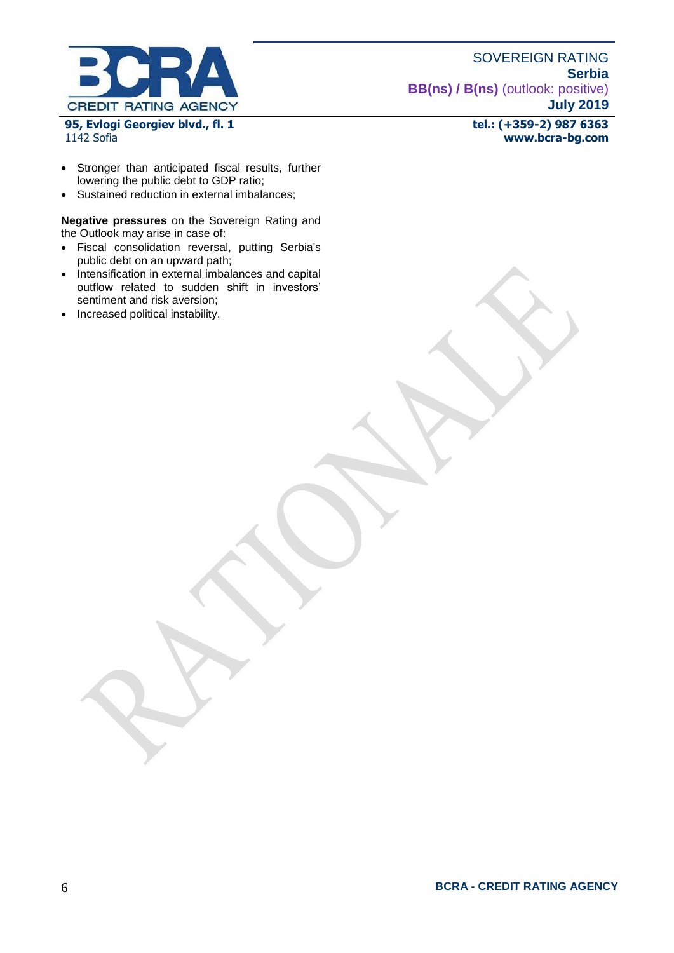

**95, Evlogi Georgiev blvd., fl. 1** 1142 Sofia

**tel.: (+359-2) 987 6363 www.bcra-bg.com** 

- Stronger than anticipated fiscal results, further lowering the public debt to GDP ratio;
- Sustained reduction in external imbalances;

**Negative pressures** on the Sovereign Rating and the Outlook may arise in case of:

- Fiscal consolidation reversal, putting Serbia's public debt on an upward path;
- Intensification in external imbalances and capital outflow related to sudden shift in investors' sentiment and risk aversion;
- Increased political instability.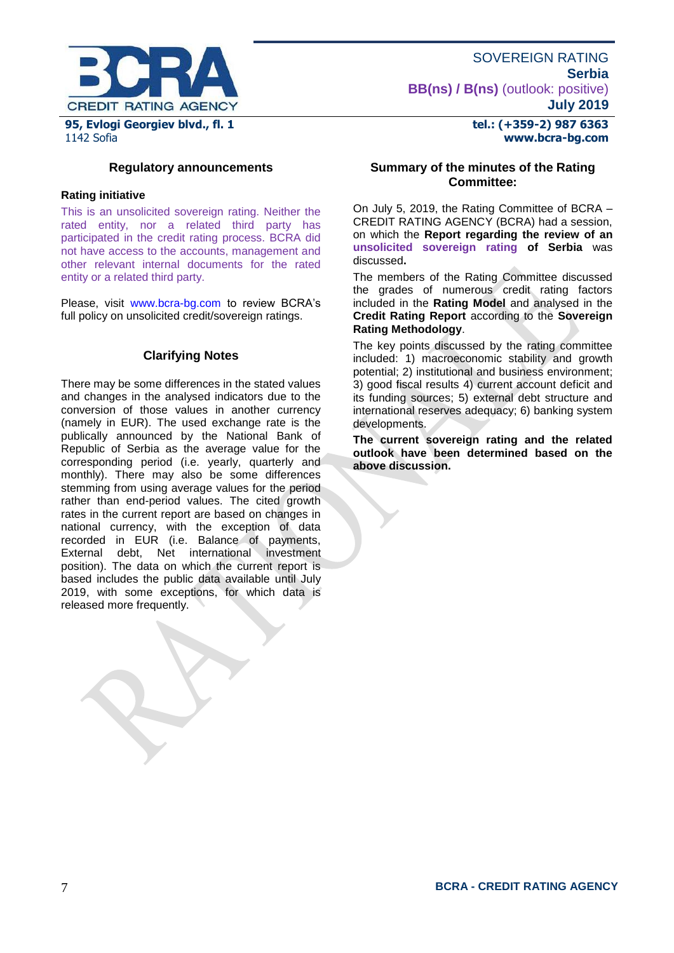

**tel.: (+359-2) 987 6363 www.bcra-bg.com** 

#### **Regulatory announcements**

#### **Rating initiative**

This is an unsolicited sovereign rating. Neither the rated entity, nor a related third party has participated in the credit rating process. BCRA did not have access to the accounts, management and other relevant internal documents for the rated entity or a related third party.

Please, visit [www.bcra-bg.com](http://www.bcra-bg.com/) to review BCRA's full policy on unsolicited credit/sovereign ratings.

#### **Clarifying Notes**

There may be some differences in the stated values and changes in the analysed indicators due to the conversion of those values in another currency (namely in EUR). The used exchange rate is the publically announced by the National Bank of Republic of Serbia as the average value for the corresponding period (i.e. yearly, quarterly and monthly). There may also be some differences stemming from using average values for the period rather than end-period values. The cited growth rates in the current report are based on changes in national currency, with the exception of data recorded in EUR (i.e. Balance of payments, External debt, Net international investment position). The data on which the current report is based includes the public data available until July 2019, with some exceptions, for which data is released more frequently.

#### **Summary of the minutes of the Rating Committee:**

On July 5, 2019, the Rating Committee of BCRA – CREDIT RATING AGENCY (BCRA) had a session, on which the **Report regarding the review of an unsolicited sovereign rating of Serbia** was discussed**.**

The members of the Rating Committee discussed the grades of numerous credit rating factors included in the **Rating Model** and analysed in the **Credit Rating Report** according to the **Sovereign Rating Methodology**.

The key points discussed by the rating committee included: 1) macroeconomic stability and growth potential; 2) institutional and business environment; 3) good fiscal results 4) current account deficit and its funding sources; 5) external debt structure and international reserves adequacy; 6) banking system developments.

**The current sovereign rating and the related outlook have been determined based on the above discussion.**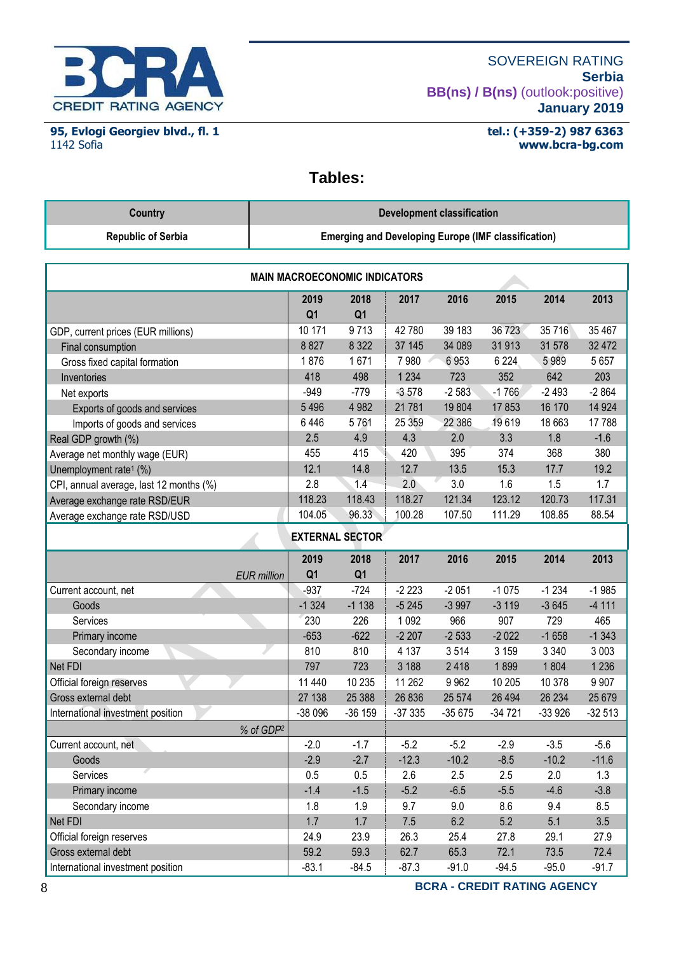

**95, Evlogi Georgiev blvd., fl. 1** 1142 Sofia

#### **tel.: (+359-2) 987 6363 www.bcra-bg.com**

# **Tables:**

| Country                   | Development classification                                 |
|---------------------------|------------------------------------------------------------|
| <b>Republic of Serbia</b> | <b>Emerging and Developing Europe (IMF classification)</b> |

|                                         | <b>MAIN MACROECONOMIC INDICATORS</b> |                        |          |          |          |          |          |  |
|-----------------------------------------|--------------------------------------|------------------------|----------|----------|----------|----------|----------|--|
|                                         | 2019<br>Q <sub>1</sub>               | 2018<br>Q <sub>1</sub> | 2017     | 2016     | 2015     | 2014     | 2013     |  |
| GDP, current prices (EUR millions)      | 10 171                               | 9713                   | 42 780   | 39 183   | 36 723   | 35 716   | 35 467   |  |
| Final consumption                       | 8827                                 | 8 3 2 2                | 37 145   | 34 089   | 31913    | 31 578   | 32 472   |  |
| Gross fixed capital formation           | 1876                                 | 1671                   | 7980     | 6953     | 6 2 2 4  | 5989     | 5 6 5 7  |  |
| Inventories                             | 418                                  | 498                    | 1 2 3 4  | 723      | 352      | 642      | 203      |  |
| Net exports                             | $-949$                               | $-779$                 | $-3578$  | $-2583$  | $-1766$  | $-2493$  | $-2864$  |  |
| Exports of goods and services           | 5 4 9 6                              | 4 9 8 2                | 21 781   | 19804    | 17853    | 16 170   | 14 9 24  |  |
| Imports of goods and services           | 6446                                 | 5761                   | 25 359   | 22 386   | 19619    | 18 663   | 17788    |  |
| Real GDP growth (%)                     | 2.5                                  | 4.9                    | 4.3      | 2.0      | 3.3      | 1.8      | $-1.6$   |  |
| Average net monthly wage (EUR)          | 455                                  | 415                    | 420      | 395      | 374      | 368      | 380      |  |
| Unemployment rate <sup>1</sup> (%)      | 12.1                                 | 14.8                   | 12.7     | 13.5     | 15.3     | 17.7     | 19.2     |  |
| CPI, annual average, last 12 months (%) | 2.8                                  | 1.4                    | 2.0      | 3.0      | 1.6      | 1.5      | 1.7      |  |
| Average exchange rate RSD/EUR           | 118.23                               | 118.43                 | 118.27   | 121.34   | 123.12   | 120.73   | 117.31   |  |
| Average exchange rate RSD/USD           | 104.05                               | 96.33                  | 100.28   | 107.50   | 111.29   | 108.85   | 88.54    |  |
|                                         |                                      |                        |          |          |          |          |          |  |
|                                         |                                      | <b>EXTERNAL SECTOR</b> |          |          |          |          |          |  |
|                                         | 2019                                 | 2018                   | 2017     | 2016     | 2015     | 2014     | 2013     |  |
| <b>EUR</b> million                      | Q <sub>1</sub>                       | Q <sub>1</sub>         |          |          |          |          |          |  |
| Current account, net                    | $-937$                               | $-724$                 | $-2223$  | $-2051$  | $-1075$  | $-1234$  | $-1985$  |  |
| Goods                                   | $-1324$                              | $-1138$                | $-5245$  | $-3997$  | $-3119$  | $-3645$  | $-4111$  |  |
| Services                                | 230                                  | 226                    | 1 0 9 2  | 966      | 907      | 729      | 465      |  |
| Primary income                          | $-653$                               | $-622$                 | $-2207$  | $-2533$  | $-2022$  | $-1658$  | $-1343$  |  |
| Secondary income                        | 810                                  | 810                    | 4 1 3 7  | 3514     | 3 1 5 9  | 3 3 4 0  | 3 0 0 3  |  |
| Net FDI                                 | 797                                  | 723                    | 3 188    | 2418     | 1899     | 1804     | 1 2 3 6  |  |
| Official foreign reserves               | 11 440                               | 10 235                 | 11 262   | 9962     | 10 205   | 10 378   | 9 9 0 7  |  |
| Gross external debt                     | 27 138                               | 25 388                 | 26 836   | 25 574   | 26 4 94  | 26 234   | 25 6 79  |  |
| International investment position       | $-38096$                             | $-36159$               | $-37335$ | $-35675$ | $-34721$ | $-33926$ | $-32513$ |  |
| % of GDP <sup>2</sup>                   |                                      |                        |          |          |          |          |          |  |
| Current account, net                    | $-2.0$                               | $-1.7$                 | $-5.2$   | $-5.2$   | $-2.9$   | $-3.5$   | $-5.6$   |  |
| Goods                                   | $-2.9$                               | $-2.7$                 | $-12.3$  | $-10.2$  | $-8.5$   | $-10.2$  | $-11.6$  |  |
| Services                                | 0.5                                  | 0.5                    | 2.6      | 2.5      | 2.5      | 2.0      | 1.3      |  |
| Primary income                          | $-1.4$                               | $-1.5$                 | $-5.2$   | $-6.5$   | $-5.5$   | $-4.6$   | $-3.8$   |  |
| Secondary income                        | 1.8                                  | 1.9                    | 9.7      | 9.0      | 8.6      | 9.4      | 8.5      |  |
| Net FDI                                 | 1.7                                  | 1.7                    | $7.5\,$  | 6.2      | 5.2      | 5.1      | 3.5      |  |
| Official foreign reserves               | 24.9                                 | 23.9                   | 26.3     | 25.4     | 27.8     | 29.1     | 27.9     |  |
| Gross external debt                     | 59.2                                 | 59.3                   | 62.7     | 65.3     | 72.1     | 73.5     | 72.4     |  |
| International investment position       | $-83.1$                              | $-84.5$                | $-87.3$  | $-91.0$  | $-94.5$  | $-95.0$  | $-91.7$  |  |

8 **BCRA - CREDIT RATING AGENCY**